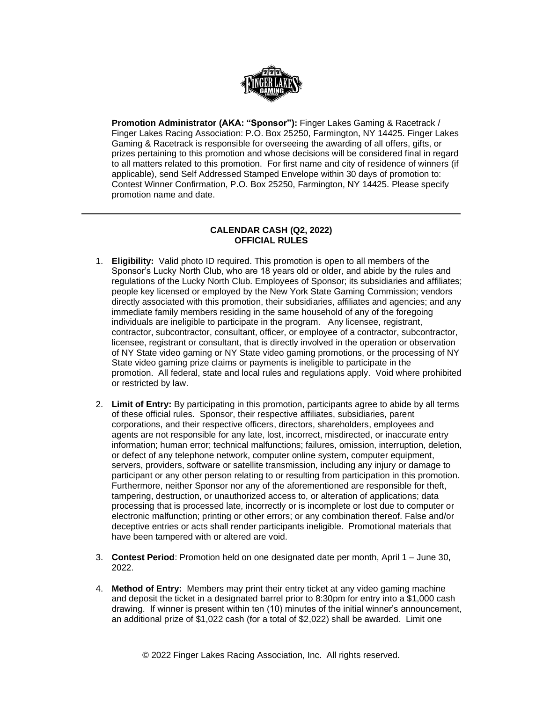

**Promotion Administrator (AKA: "Sponsor"):** Finger Lakes Gaming & Racetrack / Finger Lakes Racing Association: P.O. Box 25250, Farmington, NY 14425. Finger Lakes Gaming & Racetrack is responsible for overseeing the awarding of all offers, gifts, or prizes pertaining to this promotion and whose decisions will be considered final in regard to all matters related to this promotion. For first name and city of residence of winners (if applicable), send Self Addressed Stamped Envelope within 30 days of promotion to: Contest Winner Confirmation, P.O. Box 25250, Farmington, NY 14425. Please specify promotion name and date.

## **CALENDAR CASH (Q2, 2022) OFFICIAL RULES**

- 1. **Eligibility:** Valid photo ID required. This promotion is open to all members of the Sponsor's Lucky North Club, who are 18 years old or older, and abide by the rules and regulations of the Lucky North Club. Employees of Sponsor; its subsidiaries and affiliates; people key licensed or employed by the New York State Gaming Commission; vendors directly associated with this promotion, their subsidiaries, affiliates and agencies; and any immediate family members residing in the same household of any of the foregoing individuals are ineligible to participate in the program. Any licensee, registrant, contractor, subcontractor, consultant, officer, or employee of a contractor, subcontractor, licensee, registrant or consultant, that is directly involved in the operation or observation of NY State video gaming or NY State video gaming promotions, or the processing of NY State video gaming prize claims or payments is ineligible to participate in the promotion. All federal, state and local rules and regulations apply. Void where prohibited or restricted by law.
- 2. **Limit of Entry:** By participating in this promotion, participants agree to abide by all terms of these official rules. Sponsor, their respective affiliates, subsidiaries, parent corporations, and their respective officers, directors, shareholders, employees and agents are not responsible for any late, lost, incorrect, misdirected, or inaccurate entry information; human error; technical malfunctions; failures, omission, interruption, deletion, or defect of any telephone network, computer online system, computer equipment, servers, providers, software or satellite transmission, including any injury or damage to participant or any other person relating to or resulting from participation in this promotion. Furthermore, neither Sponsor nor any of the aforementioned are responsible for theft, tampering, destruction, or unauthorized access to, or alteration of applications; data processing that is processed late, incorrectly or is incomplete or lost due to computer or electronic malfunction; printing or other errors; or any combination thereof. False and/or deceptive entries or acts shall render participants ineligible. Promotional materials that have been tampered with or altered are void.
- 3. **Contest Period**: Promotion held on one designated date per month, April 1 June 30, 2022.
- 4. **Method of Entry:** Members may print their entry ticket at any video gaming machine and deposit the ticket in a designated barrel prior to 8:30pm for entry into a \$1,000 cash drawing. If winner is present within ten (10) minutes of the initial winner's announcement, an additional prize of \$1,022 cash (for a total of \$2,022) shall be awarded. Limit one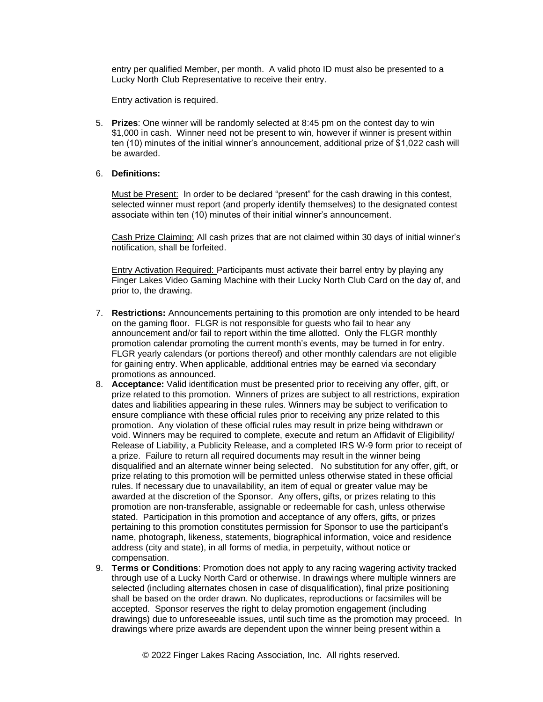entry per qualified Member, per month. A valid photo ID must also be presented to a Lucky North Club Representative to receive their entry.

Entry activation is required.

5. **Prizes**: One winner will be randomly selected at 8:45 pm on the contest day to win \$1,000 in cash. Winner need not be present to win, however if winner is present within ten (10) minutes of the initial winner's announcement, additional prize of \$1,022 cash will be awarded.

## 6. **Definitions:**

Must be Present: In order to be declared "present" for the cash drawing in this contest, selected winner must report (and properly identify themselves) to the designated contest associate within ten (10) minutes of their initial winner's announcement.

Cash Prize Claiming: All cash prizes that are not claimed within 30 days of initial winner's notification, shall be forfeited.

Entry Activation Required: Participants must activate their barrel entry by playing any Finger Lakes Video Gaming Machine with their Lucky North Club Card on the day of, and prior to, the drawing.

- 7. **Restrictions:** Announcements pertaining to this promotion are only intended to be heard on the gaming floor. FLGR is not responsible for guests who fail to hear any announcement and/or fail to report within the time allotted. Only the FLGR monthly promotion calendar promoting the current month's events, may be turned in for entry. FLGR yearly calendars (or portions thereof) and other monthly calendars are not eligible for gaining entry. When applicable, additional entries may be earned via secondary promotions as announced.
- 8. **Acceptance:** Valid identification must be presented prior to receiving any offer, gift, or prize related to this promotion. Winners of prizes are subject to all restrictions, expiration dates and liabilities appearing in these rules. Winners may be subject to verification to ensure compliance with these official rules prior to receiving any prize related to this promotion. Any violation of these official rules may result in prize being withdrawn or void. Winners may be required to complete, execute and return an Affidavit of Eligibility/ Release of Liability, a Publicity Release, and a completed IRS W-9 form prior to receipt of a prize. Failure to return all required documents may result in the winner being disqualified and an alternate winner being selected. No substitution for any offer, gift, or prize relating to this promotion will be permitted unless otherwise stated in these official rules. If necessary due to unavailability, an item of equal or greater value may be awarded at the discretion of the Sponsor. Any offers, gifts, or prizes relating to this promotion are non-transferable, assignable or redeemable for cash, unless otherwise stated. Participation in this promotion and acceptance of any offers, gifts, or prizes pertaining to this promotion constitutes permission for Sponsor to use the participant's name, photograph, likeness, statements, biographical information, voice and residence address (city and state), in all forms of media, in perpetuity, without notice or compensation.
- 9. **Terms or Conditions**: Promotion does not apply to any racing wagering activity tracked through use of a Lucky North Card or otherwise. In drawings where multiple winners are selected (including alternates chosen in case of disqualification), final prize positioning shall be based on the order drawn. No duplicates, reproductions or facsimiles will be accepted. Sponsor reserves the right to delay promotion engagement (including drawings) due to unforeseeable issues, until such time as the promotion may proceed. In drawings where prize awards are dependent upon the winner being present within a